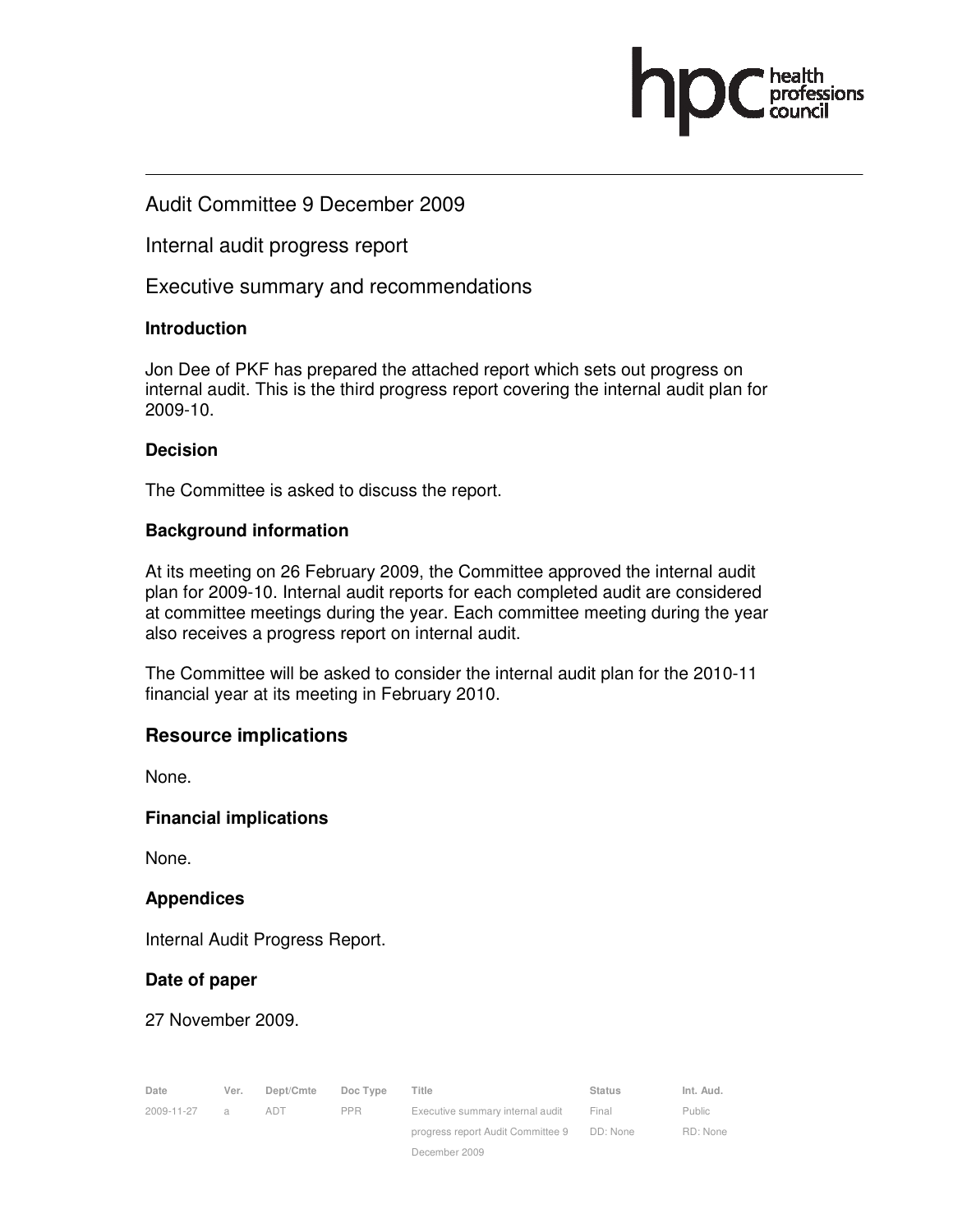### Audit Committee 9 December 2009

Internal audit progress report

Executive summary and recommendations

### **Introduction**

Jon Dee of PKF has prepared the attached report which sets out progress on internal audit. This is the third progress report covering the internal audit plan for 2009-10.

### **Decision**

The Committee is asked to discuss the report.

### **Background information**

At its meeting on 26 February 2009, the Committee approved the internal audit plan for 2009-10. Internal audit reports for each completed audit are considered at committee meetings during the year. Each committee meeting during the year also receives a progress report on internal audit.

The Committee will be asked to consider the internal audit plan for the 2010-11 financial year at its meeting in February 2010.

### **Resource implications**

None.

**Financial implications** 

None.

#### **Appendices**

Internal Audit Progress Report.

### **Date of paper**

27 November 2009.

| Date       | Ver. | Dept/Cmte | Doc Type   | Title                             | <b>Status</b> | Int. Aud. |
|------------|------|-----------|------------|-----------------------------------|---------------|-----------|
| 2009-11-27 | a    | ADT       | <b>PPR</b> | Executive summary internal audit  | Final         | Public    |
|            |      |           |            | progress report Audit Committee 9 | DD: None      | RD: None  |
|            |      |           |            | December 2009                     |               |           |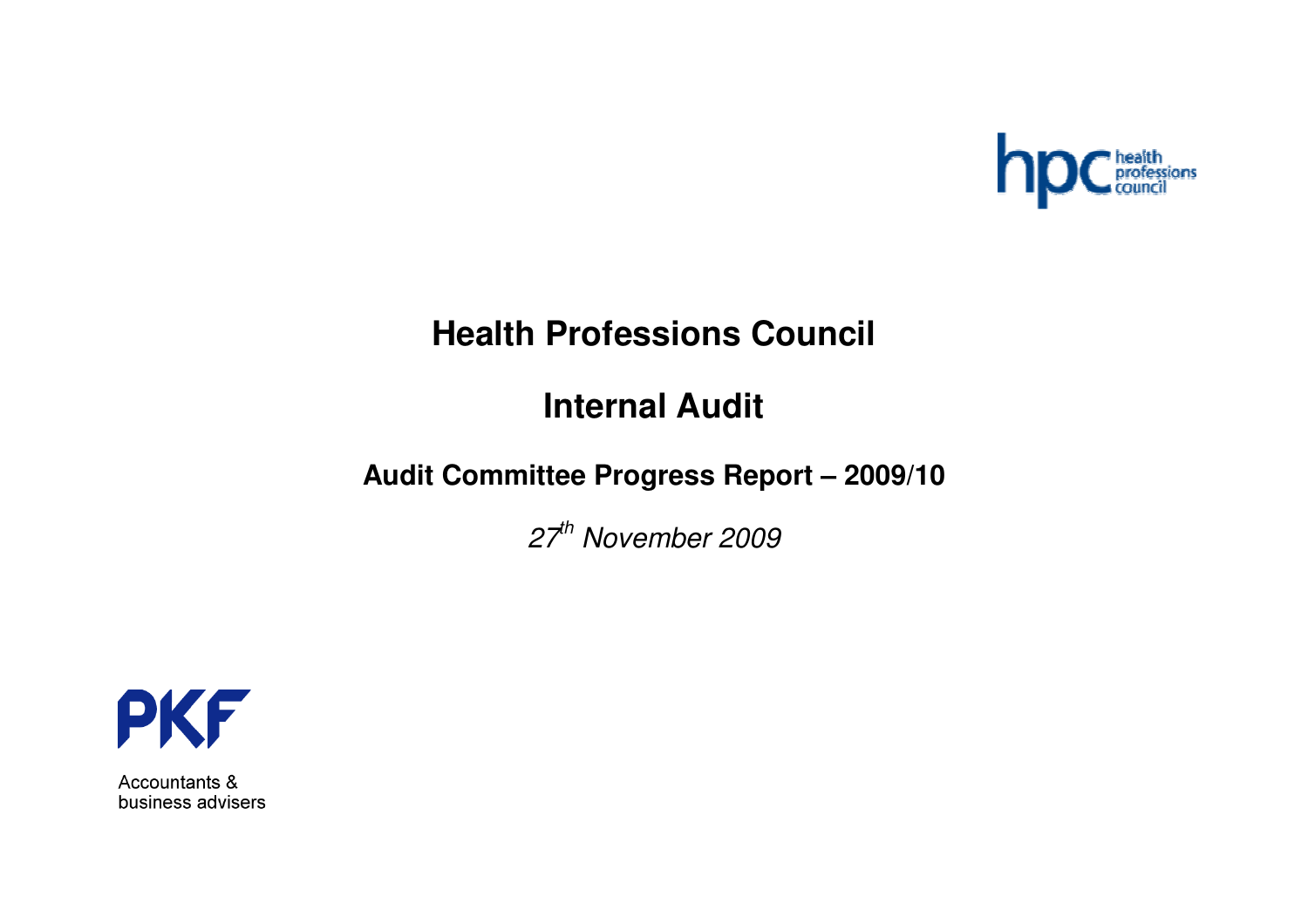

# **Health Professions Council**

# **Internal Audit**

## **Audit Committee Progress Report – 2009/10**

*27th November 2009*



Accountants & business advisers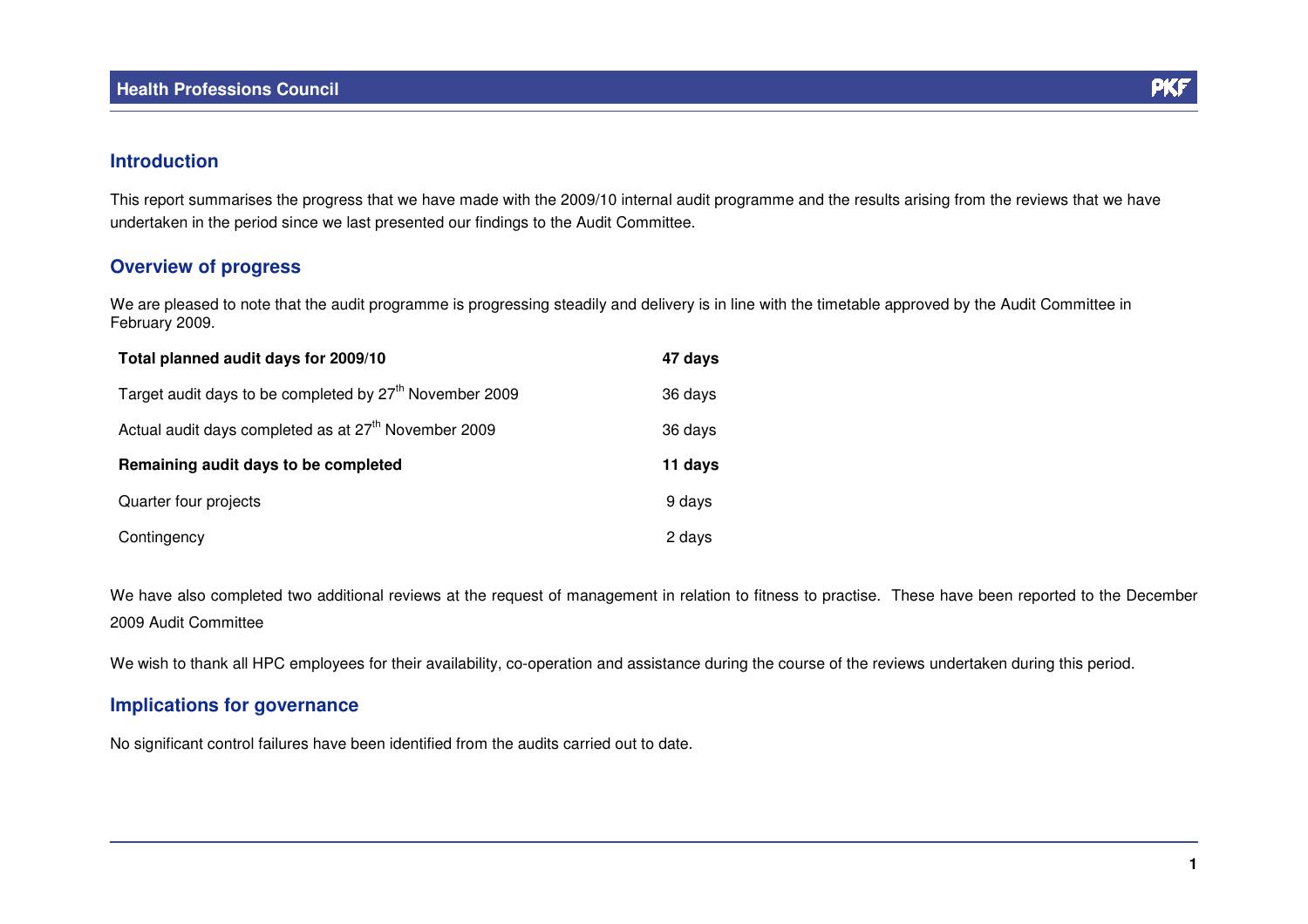

### **Introduction**

This report summarises the progress that we have made with the 2009/10 internal audit programme and the results arising from the reviews that we have undertaken in the period since we last presented our findings to the Audit Committee.

### **Overview of progress**

We are pleased to note that the audit programme is progressing steadily and delivery is in line with the timetable approved by the Audit Committee in February 2009.

| Total planned audit days for 2009/10                                | 47 days |
|---------------------------------------------------------------------|---------|
| Target audit days to be completed by 27 <sup>th</sup> November 2009 | 36 days |
| Actual audit days completed as at 27 <sup>th</sup> November 2009    | 36 days |
| Remaining audit days to be completed                                | 11 days |
| Quarter four projects                                               | 9 days  |
| Contingency                                                         | 2 days  |

We have also completed two additional reviews at the request of management in relation to fitness to practise. These have been reported to the December 2009 Audit Committee

We wish to thank all HPC employees for their availability, co-operation and assistance during the course of the reviews undertaken during this period.

### **Implications for governance**

No significant control failures have been identified from the audits carried out to date.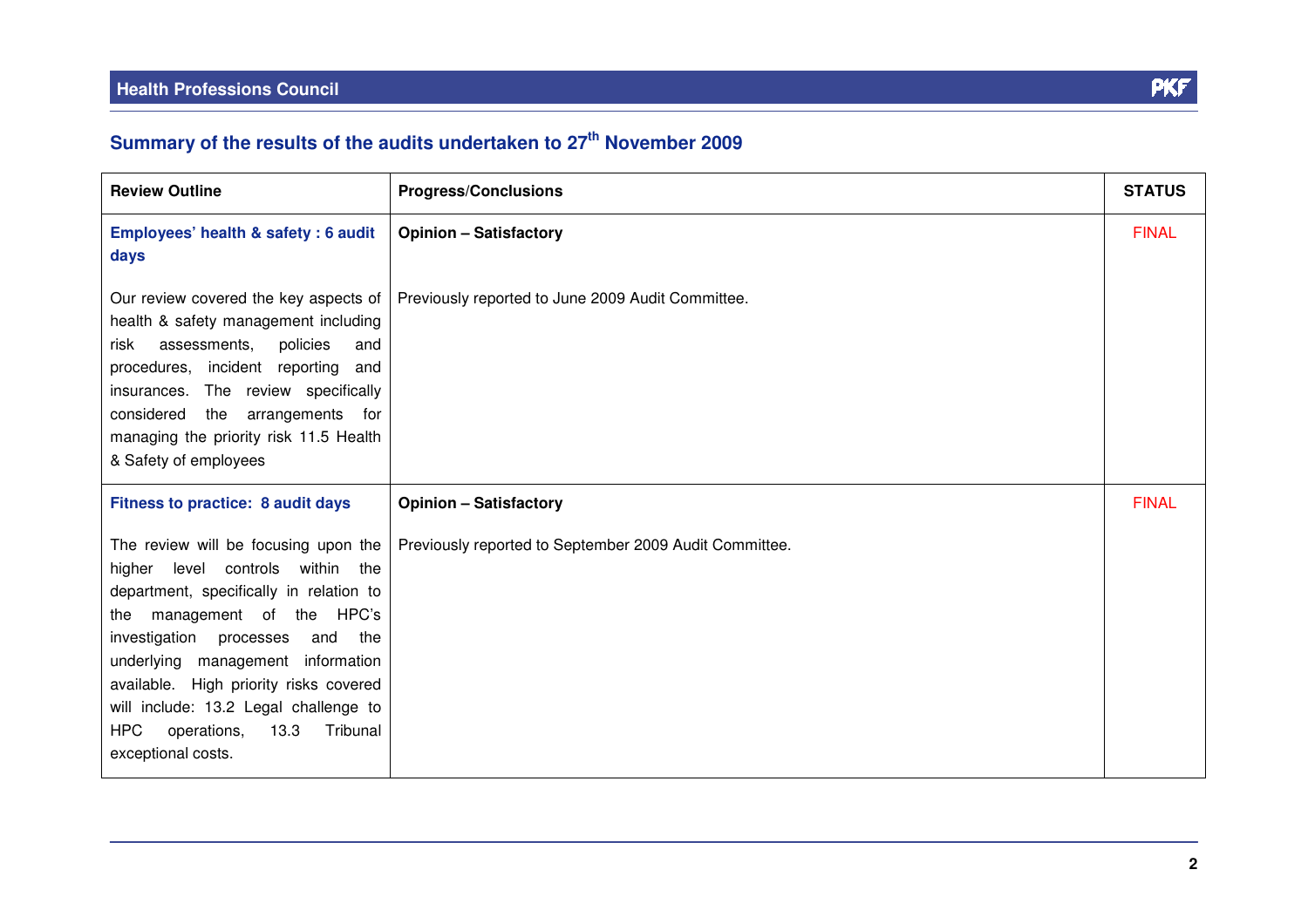| <b>Review Outline</b>                                                                                                                                                                                                                                                                                                                                                                         | <b>Progress/Conclusions</b>                            | <b>STATUS</b> |
|-----------------------------------------------------------------------------------------------------------------------------------------------------------------------------------------------------------------------------------------------------------------------------------------------------------------------------------------------------------------------------------------------|--------------------------------------------------------|---------------|
| Employees' health & safety: 6 audit<br>days                                                                                                                                                                                                                                                                                                                                                   | <b>Opinion - Satisfactory</b>                          | <b>FINAL</b>  |
| Our review covered the key aspects of<br>health & safety management including<br>assessments,<br>policies<br>risk<br>and<br>procedures, incident reporting<br>and<br>insurances. The review specifically<br>considered the<br>arrangements<br>for<br>managing the priority risk 11.5 Health<br>& Safety of employees                                                                          | Previously reported to June 2009 Audit Committee.      |               |
| Fitness to practice: 8 audit days                                                                                                                                                                                                                                                                                                                                                             | <b>Opinion - Satisfactory</b>                          | <b>FINAL</b>  |
| The review will be focusing upon the<br>higher level controls within the<br>department, specifically in relation to<br>management of the HPC's<br>the<br>investigation processes<br>and<br>the<br>underlying management information<br>available. High priority risks covered<br>will include: 13.2 Legal challenge to<br><b>HPC</b><br>Tribunal<br>operations,<br>13.3<br>exceptional costs. | Previously reported to September 2009 Audit Committee. |               |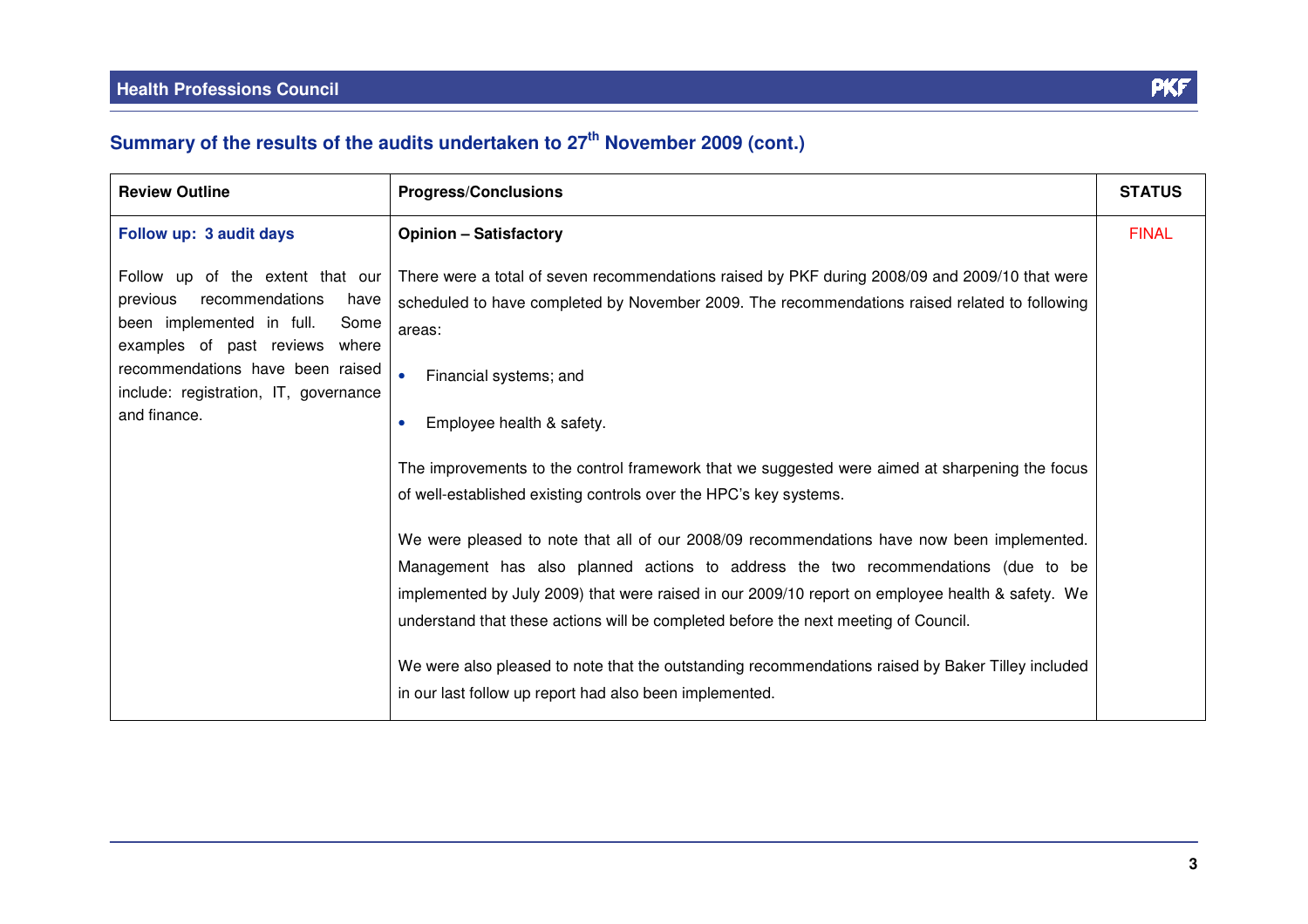| <b>Review Outline</b>                                                                                                                                                                                                                       | <b>Progress/Conclusions</b>                                                                                                                                                                                                                                                                                                                                                                                                                                                                                                                                                                                                                                                                                                                                                                                                                                                                                                                                                                        | <b>STATUS</b> |
|---------------------------------------------------------------------------------------------------------------------------------------------------------------------------------------------------------------------------------------------|----------------------------------------------------------------------------------------------------------------------------------------------------------------------------------------------------------------------------------------------------------------------------------------------------------------------------------------------------------------------------------------------------------------------------------------------------------------------------------------------------------------------------------------------------------------------------------------------------------------------------------------------------------------------------------------------------------------------------------------------------------------------------------------------------------------------------------------------------------------------------------------------------------------------------------------------------------------------------------------------------|---------------|
| Follow up: 3 audit days                                                                                                                                                                                                                     | <b>Opinion - Satisfactory</b>                                                                                                                                                                                                                                                                                                                                                                                                                                                                                                                                                                                                                                                                                                                                                                                                                                                                                                                                                                      | <b>FINAL</b>  |
| Follow up of the extent that our<br>recommendations<br>previous<br>have<br>been implemented in full.<br>Some<br>examples of past reviews where<br>recommendations have been raised<br>include: registration, IT, governance<br>and finance. | There were a total of seven recommendations raised by PKF during 2008/09 and 2009/10 that were<br>scheduled to have completed by November 2009. The recommendations raised related to following<br>areas:<br>Financial systems; and<br>Employee health & safety.<br>$\bullet$<br>The improvements to the control framework that we suggested were aimed at sharpening the focus<br>of well-established existing controls over the HPC's key systems.<br>We were pleased to note that all of our 2008/09 recommendations have now been implemented.<br>Management has also planned actions to address the two recommendations (due to be<br>implemented by July 2009) that were raised in our 2009/10 report on employee health & safety. We<br>understand that these actions will be completed before the next meeting of Council.<br>We were also pleased to note that the outstanding recommendations raised by Baker Tilley included<br>in our last follow up report had also been implemented. |               |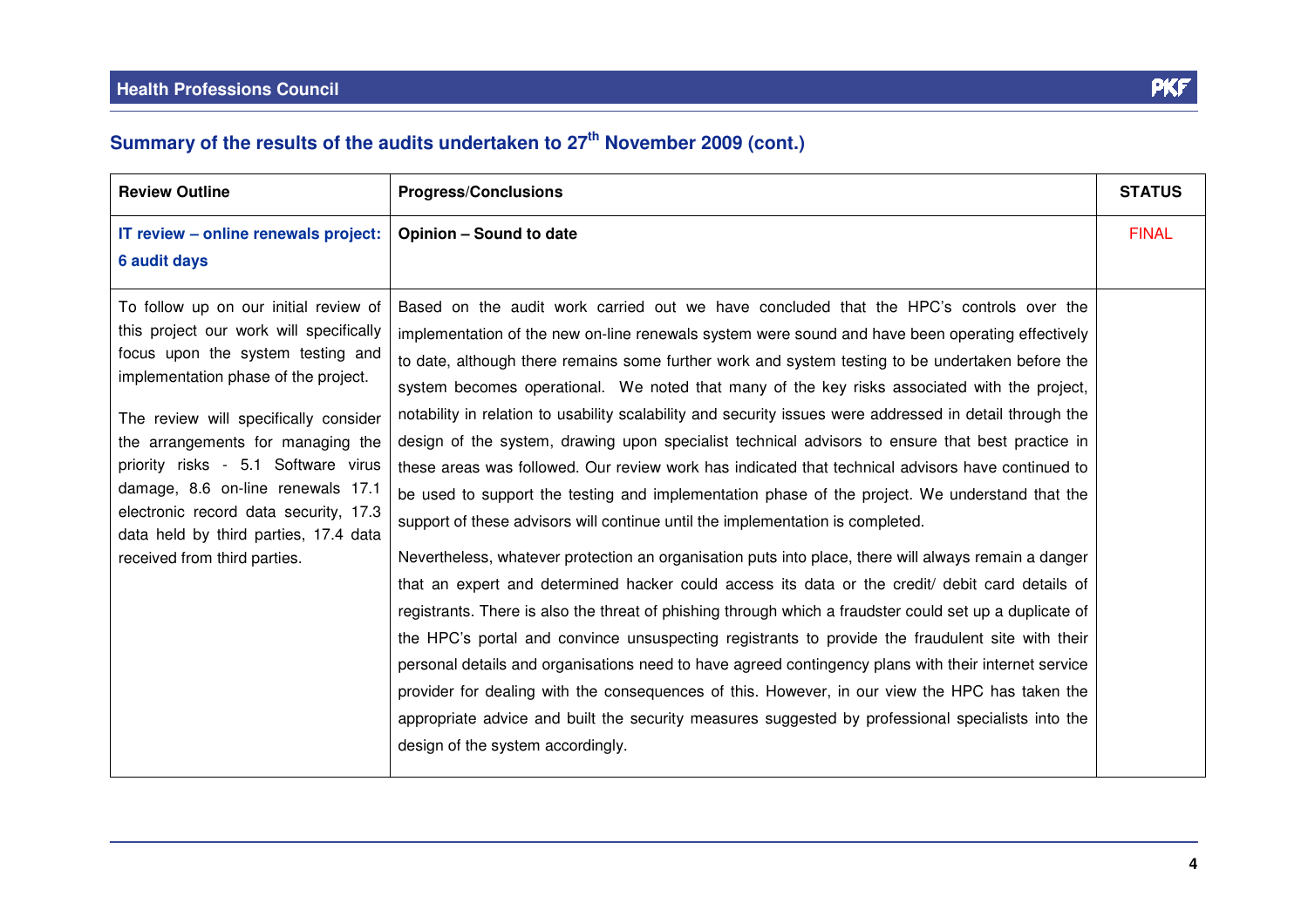| <b>Review Outline</b>                                                                                                                                                                                                                                                                                                                                                                                                                     | <b>Progress/Conclusions</b>                                                                                                                                                                                                                                                                                                                                                                                                                                                                                                                                                                                                                                                                                                                                                                                                                                                                                                                                                                                                                                                                                                                                                                                                                                                                                                                                                                                                                                                                                                                                                                                                                                                           | <b>STATUS</b> |
|-------------------------------------------------------------------------------------------------------------------------------------------------------------------------------------------------------------------------------------------------------------------------------------------------------------------------------------------------------------------------------------------------------------------------------------------|---------------------------------------------------------------------------------------------------------------------------------------------------------------------------------------------------------------------------------------------------------------------------------------------------------------------------------------------------------------------------------------------------------------------------------------------------------------------------------------------------------------------------------------------------------------------------------------------------------------------------------------------------------------------------------------------------------------------------------------------------------------------------------------------------------------------------------------------------------------------------------------------------------------------------------------------------------------------------------------------------------------------------------------------------------------------------------------------------------------------------------------------------------------------------------------------------------------------------------------------------------------------------------------------------------------------------------------------------------------------------------------------------------------------------------------------------------------------------------------------------------------------------------------------------------------------------------------------------------------------------------------------------------------------------------------|---------------|
| IT review - online renewals project:<br><b>6 audit days</b>                                                                                                                                                                                                                                                                                                                                                                               | <b>Opinion - Sound to date</b>                                                                                                                                                                                                                                                                                                                                                                                                                                                                                                                                                                                                                                                                                                                                                                                                                                                                                                                                                                                                                                                                                                                                                                                                                                                                                                                                                                                                                                                                                                                                                                                                                                                        | <b>FINAL</b>  |
| To follow up on our initial review of<br>this project our work will specifically<br>focus upon the system testing and<br>implementation phase of the project.<br>The review will specifically consider<br>the arrangements for managing the<br>priority risks - 5.1 Software virus<br>damage, 8.6 on-line renewals 17.1<br>electronic record data security, 17.3<br>data held by third parties, 17.4 data<br>received from third parties. | Based on the audit work carried out we have concluded that the HPC's controls over the<br>implementation of the new on-line renewals system were sound and have been operating effectively<br>to date, although there remains some further work and system testing to be undertaken before the<br>system becomes operational. We noted that many of the key risks associated with the project,<br>notability in relation to usability scalability and security issues were addressed in detail through the<br>design of the system, drawing upon specialist technical advisors to ensure that best practice in<br>these areas was followed. Our review work has indicated that technical advisors have continued to<br>be used to support the testing and implementation phase of the project. We understand that the<br>support of these advisors will continue until the implementation is completed.<br>Nevertheless, whatever protection an organisation puts into place, there will always remain a danger<br>that an expert and determined hacker could access its data or the credit/ debit card details of<br>registrants. There is also the threat of phishing through which a fraudster could set up a duplicate of<br>the HPC's portal and convince unsuspecting registrants to provide the fraudulent site with their<br>personal details and organisations need to have agreed contingency plans with their internet service<br>provider for dealing with the consequences of this. However, in our view the HPC has taken the<br>appropriate advice and built the security measures suggested by professional specialists into the<br>design of the system accordingly. |               |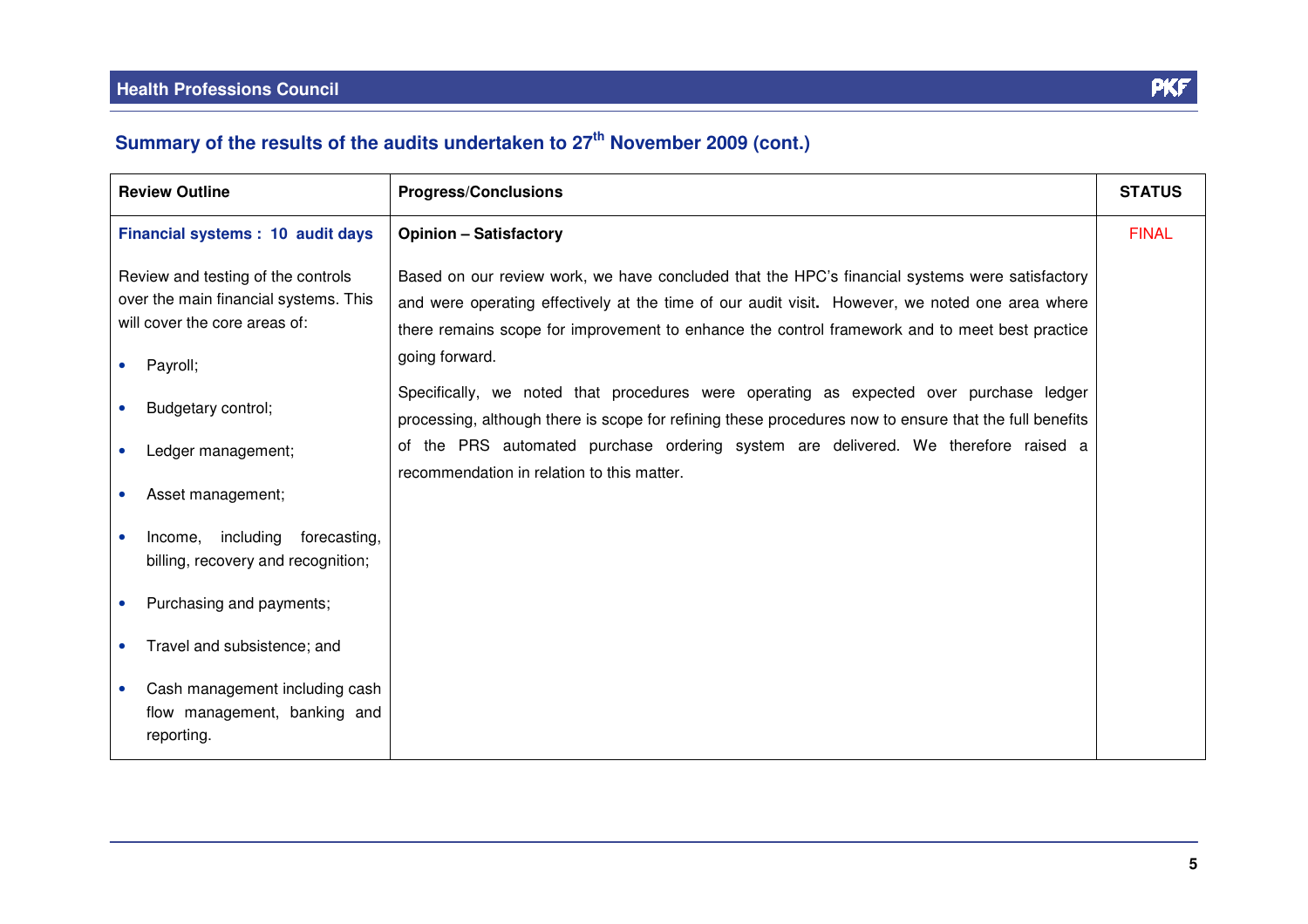| <b>Review Outline</b>                                                                                        | <b>Progress/Conclusions</b>                                                                                                                                                                                                                                                                         | <b>STATUS</b> |
|--------------------------------------------------------------------------------------------------------------|-----------------------------------------------------------------------------------------------------------------------------------------------------------------------------------------------------------------------------------------------------------------------------------------------------|---------------|
| Financial systems : 10 audit days                                                                            | <b>Opinion - Satisfactory</b>                                                                                                                                                                                                                                                                       | <b>FINAL</b>  |
| Review and testing of the controls<br>over the main financial systems. This<br>will cover the core areas of: | Based on our review work, we have concluded that the HPC's financial systems were satisfactory<br>and were operating effectively at the time of our audit visit. However, we noted one area where<br>there remains scope for improvement to enhance the control framework and to meet best practice |               |
| Payroll;                                                                                                     | going forward.                                                                                                                                                                                                                                                                                      |               |
| Budgetary control;                                                                                           | Specifically, we noted that procedures were operating as expected over purchase ledger<br>processing, although there is scope for refining these procedures now to ensure that the full benefits                                                                                                    |               |
| Ledger management;                                                                                           | of the PRS automated purchase ordering system are delivered. We therefore raised a                                                                                                                                                                                                                  |               |
| Asset management;                                                                                            | recommendation in relation to this matter.                                                                                                                                                                                                                                                          |               |
| Income, including<br>forecasting,<br>billing, recovery and recognition;                                      |                                                                                                                                                                                                                                                                                                     |               |
| Purchasing and payments;                                                                                     |                                                                                                                                                                                                                                                                                                     |               |
| Travel and subsistence; and                                                                                  |                                                                                                                                                                                                                                                                                                     |               |
| Cash management including cash<br>flow management, banking and<br>reporting.                                 |                                                                                                                                                                                                                                                                                                     |               |